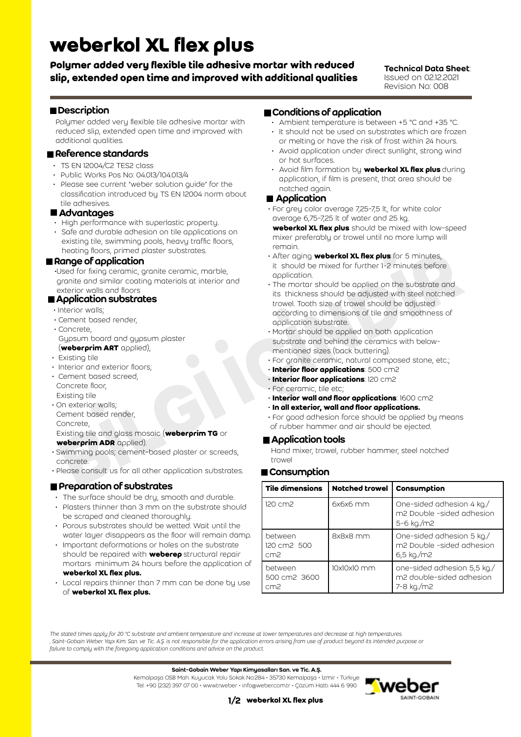# **weberkol XL flex plus**

**Polymer added very flexible tile adhesive mortar with reduced slip, extended open time and improved with additional qualities**

#### Technical Data Sheet: Issued on 02.12.2021

Revision No: 008

# Description

Polymer added very flexible tile adhesive mortar with reduced slip, extended open time and improved with additional qualities.

#### Reference standards

- TS EN 12004/C2 TES2 class
- Public Works Pos No: 04.013/104.013/4
- Please see current "weber solution guide" for the classification introduced by TS EN 12004 norm about tile adhesives.

#### ■ Advantages

- High performance with superlastic property.
- Safe and durable adhesion on tile applications on existing tile, swimming pools, heavy traffic floors, heating floors, primed plaster substrates.

#### Range of application

 •Used for fixing ceramic, granite ceramic, marble, granite and similar coating materials at interior and exterior walls and floors

## **Application substrates**

- Interior walls;
- Cement based render,
- Concrete, Gypsum board and gypsum plaster (**weberprim ART** applied),
- Existing tile
- Interior and exterior floors;
- Cement based screed, Concrete floor, Existing tile
- On exterior walls; Cement based render, Concrete,

#### Existing tile and glass mosaic (**weberprim TG** or **weberprim ADR** applied).

- Swimming pools; cement-based plaster or screeds, concrete.
- Please consult us for all other application substrates.

#### **Preparation of substrates**

- The surface should be dry, smooth and durable.
- Plasters thinner than 3 mm on the substrate should be scraped and cleaned thoroughly.
- Porous substrates should be wetted. Wait until the water layer disappears as the floor will remain damp.
- Important deformations or holes on the substrate should be repaired with **weberep** structural repair mortars minimum 24 hours before the application of **weberkol XL flex plus.**
- Local repairs thinner than 7 mm can be done by use of **weberkol XL flex plus.**

#### Conditions of application

- Ambient temperature is between +5 °C and +35 °C.
- It should not be used on substrates which are frozen or melting or have the risk of frost within 24 hours.
- Avoid application under direct sunlight, strong wind or hot surfaces.
- Avoid film formation by **weberkol XL flex plus** during application, if film is present, that area should be notched again.

#### ■ Application

- For grey color average 7,25-7,5 lt, for white color average 6,75-7,25 lt of water and 25 kg. **weberkol XL flex plus** should be mixed with low-speed mixer preferably or trowel until no more lump will
- remain. • After aging **weberkol XL flex plus** for 5 minutes,
- it should be mixed for further 1-2 minutes before application. • The mortar should be applied on the substrate and
- **Reading floors, primed places in the second is the second of the second in the second of the second in the second in the second in the second in the second in the second in the second in the second in the second in the se**  its thickness should be adjusted with steel notched trowel. Tooth size of trowel should be adjusted according to dimensions of tile and smoothness of application substrate.
	- Mortar should be applied on both application substrate and behind the ceramics with below mentioned sizes (back buttering).
	- For granite ceramic, natural composed stone, etc.;
	- **Interior floor applications**: 500 cm2
	- **Interior floor applications**: 120 cm2
	- For ceramic, tile etc;
	- **Interior wall and floor applications**: 1600 cm2
	- **In all exterior, wall and floor applications.**
	- For good adhesion force should be applied by means of rubber hammer and air should be ejected.

#### **Application tools**

Hand mixer, trowel, rubber hammer, steel notched trowel

#### **■ Consumption**

| Tile dimensions                            | <b>Notched trowel</b> | Consumption                                                           |
|--------------------------------------------|-----------------------|-----------------------------------------------------------------------|
| 120 cm2                                    | $6x6x6$ mm            | One-sided adhesion 4 kg./<br>m2 Double -sided adhesion<br>5-6 kg./m2  |
| between<br>120 cm2 500<br>cm <sub>2</sub>  | 8x8x8 mm              | One-sided adhesion 5 kg./<br>m2 Double -sided adhesion<br>6,5 kg./m2  |
| between<br>500 cm2 3600<br>cm <sub>2</sub> | 10x10x10 mm           | one-sided adhesion 5,5 kg./<br>m2 double-sided adhesion<br>7-8 kg./m2 |

*The stated times apply for 20 °C substrate and ambient temperature and increase at lower temperatures and decrease at high temperatures. ' Saint-Gobain Weber Yapı Kim. San. ve Tic. A.Ş. is not responsible for the application errors arising from use of product beyond its intended purpose or failure to comply with the foregoing application conditions and advice on the product.*

Saint-Gobain Weber Yapı Kimyasalları San. ve Tic. A.Ş.

Kemalpaşa OSB Mah. Kuyucak Yolu Sokak No:284 • 35730 Kemalpaşa • İzmir • Türkiye Tel: +90 (232) 397 07 00 • www.tr.weber • info@weber.com.tr • Çözüm Hattı 444 6 990